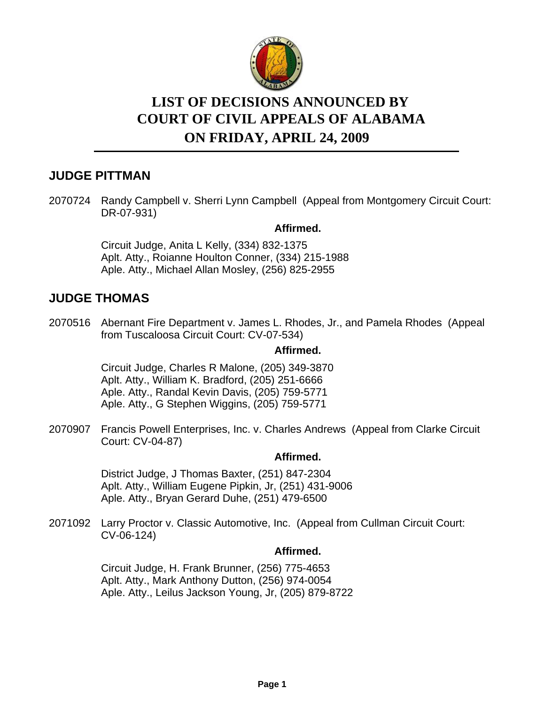

# **LIST OF DECISIONS ANNOUNCED BY ON FRIDAY, APRIL 24, 2009 COURT OF CIVIL APPEALS OF ALABAMA**

# **JUDGE PITTMAN**

2070724 Randy Campbell v. Sherri Lynn Campbell (Appeal from Montgomery Circuit Court: DR-07-931)

#### **Affirmed.**

Circuit Judge, Anita L Kelly, (334) 832-1375 Aplt. Atty., Roianne Houlton Conner, (334) 215-1988 Aple. Atty., Michael Allan Mosley, (256) 825-2955

## **JUDGE THOMAS**

2070516 Abernant Fire Department v. James L. Rhodes, Jr., and Pamela Rhodes (Appeal from Tuscaloosa Circuit Court: CV-07-534)

#### **Affirmed.**

Circuit Judge, Charles R Malone, (205) 349-3870 Aplt. Atty., William K. Bradford, (205) 251-6666 Aple. Atty., Randal Kevin Davis, (205) 759-5771 Aple. Atty., G Stephen Wiggins, (205) 759-5771

2070907 Francis Powell Enterprises, Inc. v. Charles Andrews (Appeal from Clarke Circuit Court: CV-04-87)

### **Affirmed.**

District Judge, J Thomas Baxter, (251) 847-2304 Aplt. Atty., William Eugene Pipkin, Jr, (251) 431-9006 Aple. Atty., Bryan Gerard Duhe, (251) 479-6500

2071092 Larry Proctor v. Classic Automotive, Inc. (Appeal from Cullman Circuit Court: CV-06-124)

### **Affirmed.**

Circuit Judge, H. Frank Brunner, (256) 775-4653 Aplt. Atty., Mark Anthony Dutton, (256) 974-0054 Aple. Atty., Leilus Jackson Young, Jr, (205) 879-8722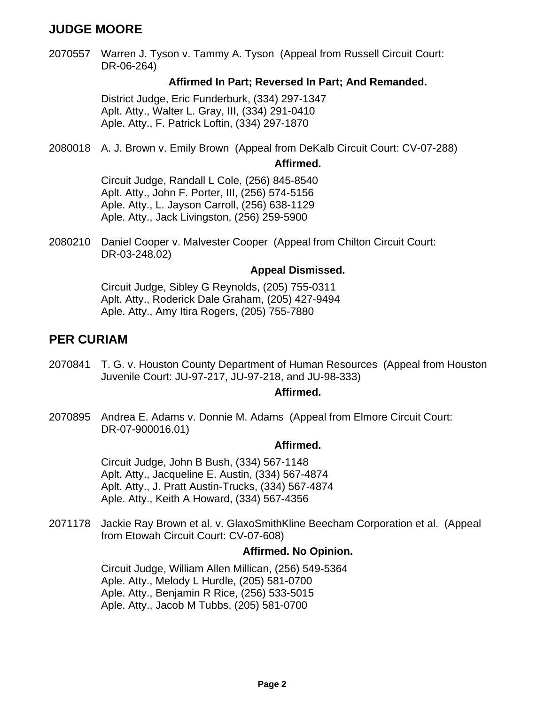# **JUDGE MOORE**

2070557 Warren J. Tyson v. Tammy A. Tyson (Appeal from Russell Circuit Court: DR-06-264)

#### **Affirmed In Part; Reversed In Part; And Remanded.**

District Judge, Eric Funderburk, (334) 297-1347 Aplt. Atty., Walter L. Gray, III, (334) 291-0410 Aple. Atty., F. Patrick Loftin, (334) 297-1870

2080018 A. J. Brown v. Emily Brown (Appeal from DeKalb Circuit Court: CV-07-288)

**Affirmed.**

Circuit Judge, Randall L Cole, (256) 845-8540 Aplt. Atty., John F. Porter, III, (256) 574-5156 Aple. Atty., L. Jayson Carroll, (256) 638-1129 Aple. Atty., Jack Livingston, (256) 259-5900

2080210 Daniel Cooper v. Malvester Cooper (Appeal from Chilton Circuit Court: DR-03-248.02)

#### **Appeal Dismissed.**

Circuit Judge, Sibley G Reynolds, (205) 755-0311 Aplt. Atty., Roderick Dale Graham, (205) 427-9494 Aple. Atty., Amy Itira Rogers, (205) 755-7880

### **PER CURIAM**

2070841 T. G. v. Houston County Department of Human Resources (Appeal from Houston Juvenile Court: JU-97-217, JU-97-218, and JU-98-333)

#### **Affirmed.**

2070895 Andrea E. Adams v. Donnie M. Adams (Appeal from Elmore Circuit Court: DR-07-900016.01)

#### **Affirmed.**

Circuit Judge, John B Bush, (334) 567-1148 Aplt. Atty., Jacqueline E. Austin, (334) 567-4874 Aplt. Atty., J. Pratt Austin-Trucks, (334) 567-4874 Aple. Atty., Keith A Howard, (334) 567-4356

2071178 Jackie Ray Brown et al. v. GlaxoSmithKline Beecham Corporation et al. (Appeal from Etowah Circuit Court: CV-07-608)

#### **Affirmed. No Opinion.**

Circuit Judge, William Allen Millican, (256) 549-5364 Aple. Atty., Melody L Hurdle, (205) 581-0700 Aple. Atty., Benjamin R Rice, (256) 533-5015 Aple. Atty., Jacob M Tubbs, (205) 581-0700